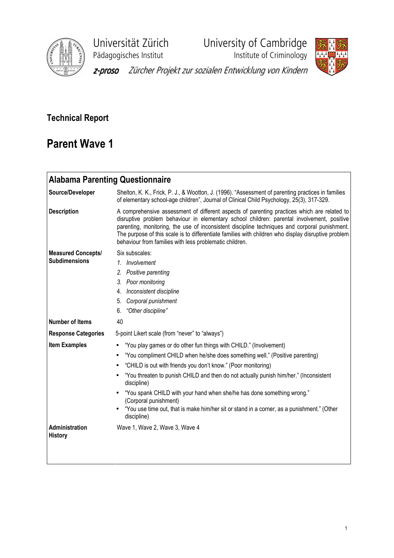

Universität Zürich<br>
Pädagogisches Institut **Varian University of Cambridge**<br>
Institute of Criminology

y<br>Institute of Criminology



z-proso Zürcher Projekt zur sozialen Entwicklung von Kindern

# Technical Report

# Parent Wave 1

| <b>Alabama Parenting Questionnaire</b>            |                                                                                                                                                                                                                                                                                                                                                                                                                                                                                                                                                         |
|---------------------------------------------------|---------------------------------------------------------------------------------------------------------------------------------------------------------------------------------------------------------------------------------------------------------------------------------------------------------------------------------------------------------------------------------------------------------------------------------------------------------------------------------------------------------------------------------------------------------|
| Source/Developer                                  | Shelton, K. K., Frick, P. J., & Wootton, J. (1996). "Assessment of parenting practices in families<br>of elementary school-age children", Journal of Clinical Child Psychology, 25(3), 317-329.                                                                                                                                                                                                                                                                                                                                                         |
| <b>Description</b>                                | A comprehensive assessment of different aspects of parenting practices which are related to<br>disruptive problem behaviour in elementary school children: parental involvement, positive<br>parenting, monitoring, the use of inconsistent discipline techniques and corporal punishment.<br>The purpose of this scale is to differentiate families with children who display disruptive problem<br>behaviour from families with less problematic children.                                                                                            |
| <b>Measured Concepts/</b><br><b>Subdimensions</b> | Six subscales:<br>1. Involvement<br>2. Positive parenting<br>3. Poor monitoring<br>4. Inconsistent discipline<br>Corporal punishment<br>5.<br>"Other discipline"<br>6.                                                                                                                                                                                                                                                                                                                                                                                  |
| <b>Number of Items</b>                            | 40                                                                                                                                                                                                                                                                                                                                                                                                                                                                                                                                                      |
| <b>Response Categories</b>                        | 5-point Likert scale (from "never" to "always")                                                                                                                                                                                                                                                                                                                                                                                                                                                                                                         |
| <b>Item Examples</b>                              | "You play games or do other fun things with CHILD." (Involvement)<br>$\bullet$<br>"You compliment CHILD when he/she does something well." (Positive parenting)<br>"CHILD is out with friends you don't know." (Poor monitoring)<br>"You threaten to punish CHILD and then do not actually punish him/her." (Inconsistent<br>discipline)<br>"You spank CHILD with your hand when she/he has done something wrong."<br>(Corporal punishment)<br>"You use time out, that is make him/her sit or stand in a corner, as a punishment." (Other<br>discipline) |
| Administration<br><b>History</b>                  | Wave 1, Wave 2, Wave 3, Wave 4                                                                                                                                                                                                                                                                                                                                                                                                                                                                                                                          |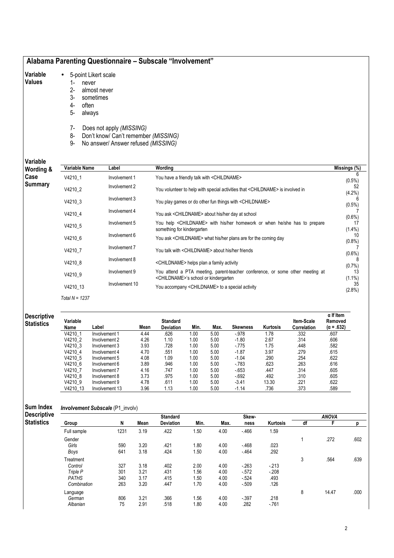## Alabama Parenting Questionnaire – Subscale "Involvement"

#### Variable • 5-point Likert scale

### Values

- 1- never 2- almost never
	- 3- sometimes
	- 4- often
	- 5- always
	- 7- Does not apply (MISSING)
	- 8- Don't know/ Can't remember (MISSING)
	- 9- No answer/ Answer refused (MISSING)

Variable

| Variable<br>Wording & | Variable Name    | Label                                                                               | Wording                                                                                                                           | Missings (%)    |  |  |  |  |
|-----------------------|------------------|-------------------------------------------------------------------------------------|-----------------------------------------------------------------------------------------------------------------------------------|-----------------|--|--|--|--|
| Case                  | V4210 1          | Involvement 1                                                                       | You have a friendly talk with <childname></childname>                                                                             | 6<br>$(0.5\%)$  |  |  |  |  |
| <b>Summary</b>        | V4210 2          | Involvement 2                                                                       | You volunteer to help with special activities that <childname> is involved in</childname>                                         | 52<br>$(4.2\%)$ |  |  |  |  |
|                       | V4210 3          | Involvement 3<br>You play games or do other fun things with <childname></childname> |                                                                                                                                   |                 |  |  |  |  |
|                       | V4210 4          | You ask <childname> about his/her day at school</childname>                         | $(0.5\%)$<br>$(0.6\%)$                                                                                                            |                 |  |  |  |  |
|                       | V4210 5          | Involvement 5                                                                       | You help <childname> with his/her homework or when he/she has to prepare<br/>something for kindergarten</childname>               | 17<br>$(1.4\%)$ |  |  |  |  |
|                       | V4210 6          | Involvement 6                                                                       | You ask <childname> what his/her plans are for the coming day</childname>                                                         | 10<br>$(0.8\%)$ |  |  |  |  |
|                       | V4210 7          | Involvement 7                                                                       | You talk with <childname> about his/her friends</childname>                                                                       | $(0.6\%)$       |  |  |  |  |
|                       | V4210 8          | Involvement 8                                                                       | <childname> helps plan a family activity</childname>                                                                              | 8<br>$(0.7\%)$  |  |  |  |  |
|                       | V4210 9          | Involvement 9                                                                       | You attend a PTA meeting, parent-teacher conference, or some other meeting at<br><childname>'s school or kindergarten</childname> | 13<br>$(1.1\%)$ |  |  |  |  |
|                       | V4210 13         | Involvement 10                                                                      | You accompany <childname> to a special activity</childname>                                                                       | 35<br>$(2.8\%)$ |  |  |  |  |
|                       | Total $N = 1237$ |                                                                                     |                                                                                                                                   |                 |  |  |  |  |

| <b>Descriptive</b><br><b>Statistics</b> | Variable<br>Name | Label          | <b>Standard</b><br><b>Deviation</b><br>Min.<br>Max.<br>Kurtosis<br>Mean<br><b>Skewness</b> |      |      |      |         |       | Item-Scale<br>Correlation | $\alpha$ If Item<br>Removed<br>$(\alpha = .632)$ |
|-----------------------------------------|------------------|----------------|--------------------------------------------------------------------------------------------|------|------|------|---------|-------|---------------------------|--------------------------------------------------|
|                                         | V4210 1          | Involvement 1  | 4.44                                                                                       | .626 | 1.00 | 5.00 | $-978$  | 1.78  | .332                      | .607                                             |
|                                         | V4210 2          | Involvement 2  | 4.26                                                                                       | 1.10 | 1.00 | 5.00 | $-1.80$ | 2.67  | .314                      | .606                                             |
|                                         | V4210 3          | Involvement 3  | 3.93                                                                                       | .728 | 1.00 | 5.00 | -.775   | 1.75  | .448                      | .582                                             |
|                                         | V4210 4          | Involvement 4  | 4.70                                                                                       | .551 | 1.00 | 5.00 | $-1.87$ | 3.97  | .279                      | .615                                             |
|                                         | V4210 5          | Involvement 5  | 4.08                                                                                       | 1.09 | 1.00 | 5.00 | $-1.04$ | .290  | .254                      | .622                                             |
|                                         | V4210 6          | Involvement 6  | 3.89                                                                                       | .946 | 1.00 | 5.00 | $-783$  | .623  | .263                      | .616                                             |
|                                         | V4210 7          | Involvement 7  | 4.16                                                                                       | .747 | 1.00 | 5.00 | $-653$  | .447  | .314                      | .605                                             |
|                                         | V4210 8          | Involvement 8  | 3.73                                                                                       | .975 | 1.00 | 5.00 | $-692$  | .492  | .310                      | .605                                             |
|                                         | V4210 9          | Involvement 9  | 4.78                                                                                       | .611 | 1.00 | 5.00 | $-3.41$ | 13.30 | .221                      | .622                                             |
|                                         | V4210 13         | Involvement 13 | 3.96                                                                                       | 1.13 | 1.00 | 5.00 | $-1.14$ | .736  | .373                      | .589                                             |

| <b>Involvement Subscale (P1_involv)</b> |      |      |                  |      |      |         |          |    |              |      |  |  |
|-----------------------------------------|------|------|------------------|------|------|---------|----------|----|--------------|------|--|--|
|                                         |      |      | <b>Standard</b>  |      |      | Skew-   |          |    | <b>ANOVA</b> |      |  |  |
| Group                                   | N    | Mean | <b>Deviation</b> | Min. | Max. | ness    | Kurtosis | df |              |      |  |  |
| Full sample                             | 1231 | 3.19 | .422             | 1.50 | 4.00 | $-466$  | 1.59     |    |              |      |  |  |
| Gender                                  |      |      |                  |      |      |         |          |    | .272         | .602 |  |  |
| Girls                                   | 590  | 3.20 | .421             | 1.80 | 4.00 | $-468$  | .023     |    |              |      |  |  |
| Boys                                    | 641  | 3.18 | .424             | 1.50 | 4.00 | $-464$  | .292     |    |              |      |  |  |
| Treatment                               |      |      |                  |      |      |         |          | 3  | .564         | .639 |  |  |
| Control                                 | 327  | 3.18 | .402             | 2.00 | 4.00 | $-263$  | $-213$   |    |              |      |  |  |
| Triple P                                | 301  | 3.21 | .431             | 1.56 | 4.00 | $-572$  | $-208$   |    |              |      |  |  |
| <b>PATHS</b>                            | 340  | 3.17 | .415             | 1.50 | 4.00 | $-524$  | .493     |    |              |      |  |  |
| Combination                             | 263  | 3.20 | .447             | 1.70 | 4.00 | $-.509$ | .126     |    |              |      |  |  |
| Language                                |      |      |                  |      |      |         |          | 8  | 14.47        | .000 |  |  |
| German                                  | 806  | 3.21 | .366             | 1.56 | 4.00 | $-397$  | .218     |    |              |      |  |  |
| Albanian                                | 75   | 2.91 | .518             | 1.80 | 4.00 | .282    | $-761$   |    |              |      |  |  |
|                                         |      |      |                  |      |      |         |          |    |              |      |  |  |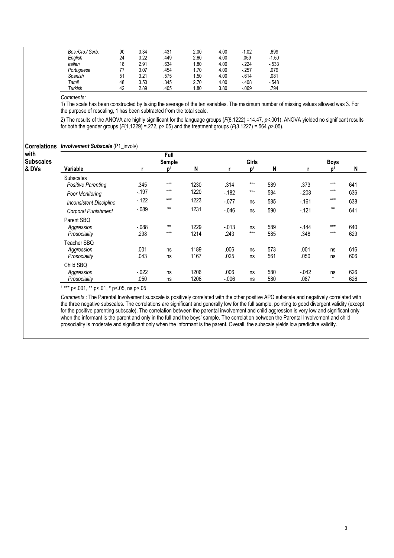| Bos./Cro./ Serb. | 90 | 3.34 | .431 | 2.00 | 4.00 | $-1.02$ | .699    |
|------------------|----|------|------|------|------|---------|---------|
| English          | 24 | 3.22 | 449  | 2.60 | 4.00 | .059    | $-1.50$ |
| Italian          | 18 | 2.91 | .634 | 1.80 | 4.00 | $-224$  | $-533$  |
| Portuguese       | 77 | 3.07 | 454  | 1.70 | 4.00 | $-257$  | .079    |
| Spanish          | 51 | 3.21 | .575 | 1.50 | 4.00 | $-614$  | .081    |
| Tamil            | 48 | 3.50 | .345 | 2.70 | 4.00 | $-408$  | $-548$  |
| Turkish          | 42 | 2.89 | 405  | 1.80 | 3.80 | $-069$  | .794    |

Comments:

1) The scale has been constructed by taking the average of the ten variables. The maximum number of missing values allowed was 3. For the purpose of rescaling, 1 has been subtracted from the total scale.

2) The results of the ANOVA are highly significant for the language groups (F(8,1222) =14.47, p<.001). ANOVA yielded no significant results for both the gender groups  $(F(1, 1229) = 272, p > 05)$  and the treatment groups  $(F(3, 1227) = 564 p > 05)$ .

|  | Correlations Involvement Subscale (P1_involv) |  |
|--|-----------------------------------------------|--|
|--|-----------------------------------------------|--|

| with             |                                |          | Full           |      |          |                |     |             |                |     |  |
|------------------|--------------------------------|----------|----------------|------|----------|----------------|-----|-------------|----------------|-----|--|
| <b>Subscales</b> |                                | Sample   |                |      |          | <b>Girls</b>   |     | <b>Boys</b> |                |     |  |
| & DVs            | Variable                       | r        | $\mathsf{D}^1$ | N    | r        | p <sup>1</sup> | N   |             | n <sup>1</sup> | N   |  |
|                  | <b>Subscales</b>               |          |                |      |          |                |     |             |                |     |  |
|                  | Positive Parenting             | .345     | $***$          | 1230 | .314     | $***$          | 589 | .373        | $***$          | 641 |  |
|                  | Poor Monitoring                | $-197$   | $***$          | 1220 | $-182$   | $***$          | 584 | $-.208$     | $***$          | 636 |  |
|                  | <b>Inconsistent Discipline</b> | $-122$   | $***$          | 1223 | $-.077$  | ns             | 585 | $-161$      | $***$          | 638 |  |
|                  | Corporal Punishment            | $-.089$  | $***$          | 1231 | $-.046$  | ns             | 590 | $-121$      | $**$           | 641 |  |
|                  | Parent SBQ                     |          |                |      |          |                |     |             |                |     |  |
|                  | Aggression                     | $-0.088$ | $***$          | 1229 | $-.013$  | ns             | 589 | $-144$      | $***$          | 640 |  |
|                  | Prosociality                   | .298     | $***$          | 1214 | .243     | $***$          | 585 | .348        | $***$          | 629 |  |
|                  | Teacher SBQ                    |          |                |      |          |                |     |             |                |     |  |
|                  | Aggression                     | .001     | ns             | 1189 | .006     | ns             | 573 | .001        | ns             | 616 |  |
|                  | Prosociality                   | .043     | ns             | 1167 | .025     | ns             | 561 | .050        | ns             | 606 |  |
|                  | Child SBQ                      |          |                |      |          |                |     |             |                |     |  |
|                  | Aggression                     | $-.022$  | ns             | 1206 | .006     | ns             | 580 | $-.042$     | ns             | 626 |  |
|                  | Prosociality                   | .050     | ns             | 1206 | $-0.006$ | ns             | 580 | .087        | $\star$        | 626 |  |

1 \*\*\* p<.001, \*\* p<.01, \* p<.05, ns p>.05

Comments : The Parental Involvement subscale is positively correlated with the other positive APQ subscale and negatively correlated with the three negative subscales. The correlations are significant and generally low for the full sample, pointing to good divergent validity (except for the positive parenting subscale). The correlation between the parental involvement and child aggression is very low and significant only when the informant is the parent and only in the full and the boys' sample. The correlation between the Parental Involvement and child prosociality is moderate and significant only when the informant is the parent. Overall, the subscale yields low predictive validity.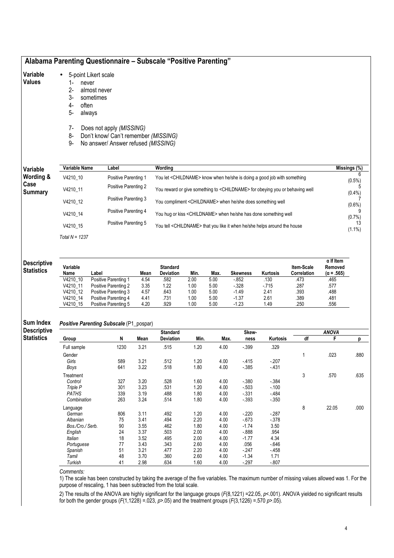## Alabama Parenting Questionnaire – Subscale "Positive Parenting"

#### Variable • 5-point Likert scale

## Values

- 1- never<br>2- almos
- 2- almost never<br>3- sometimes 3- sometimes
- 
- 4- often<br>5- alway always
- 7- Does not apply (MISSING)
- 8- Don't know/ Can't remember (MISSING)
- 9- No answer/ Answer refused (MISSING)

| Variable        | Variable Name    | Label                | Wordina                                                                                  | Missings (%) |
|-----------------|------------------|----------------------|------------------------------------------------------------------------------------------|--------------|
| Wording &       | V4210 10         | Positive Parenting 1 | You let <childname> know when he/she is doing a good job with something</childname>      | $(0.5\%)$    |
| Case<br>Summary | V4210 11         | Positive Parenting 2 | You reward or give something to <childname> for obeying you or behaving well</childname> | (0.4% )      |
|                 | V4210 12         | Positive Parenting 3 | You compliment < CHILDNAME> when he/she does something well                              | $(0.6\%)$    |
|                 | V4210 14         | Positive Parenting 4 | You hug or kiss <childname> when he/she has done something well</childname>              | $(0.7\%)$    |
|                 | V4210 15         | Positive Parenting 5 | You tell <childname> that you like it when he/she helps around the house</childname>     | $(1.1\%)$    |
|                 | Total $N = 1237$ |                      |                                                                                          |              |

## Desc **Statis**

| <b>riptive:</b><br>stics | Variable<br>Name | .abel                | Mean | <b>Standard</b><br><b>Deviation</b> | Min. | Max. | <b>Skewness</b> | <b>Kurtosis</b> | <b>Item-Scale</b><br>Correlation | $\alpha$ If Item<br>Removed<br>$(\alpha = .565)$ |
|--------------------------|------------------|----------------------|------|-------------------------------------|------|------|-----------------|-----------------|----------------------------------|--------------------------------------------------|
|                          | V4210 10         | Positive Parenting 1 | 4.54 | .582                                | 2.00 | 5.00 | $-0.852$        | .130            | .473                             | .465                                             |
|                          | V4210 11         | Positive Parenting 2 | 3.35 | 1.22                                | 1.00 | 5.00 | $-0.328$        | $-715$          | .287                             | .577                                             |
|                          | V4210 12         | Positive Parenting 3 | 4.57 | .643                                | 1.00 | 5.00 | $-1.49$         | 2.41            | .393                             | .488                                             |
|                          | V4210 14         | Positive Parenting 4 | 4.41 | .731                                | 1.00 | 5.00 | $-1.37$         | 2.61            | .389                             | .481                                             |
|                          | V4210 15         | Positive Parenting 5 | 4.20 | .929                                | 1.00 | 5.00 | $-1.23$         | 1.49            | .250                             | .556                                             |

#### Sum Index Positive Parenting Subscale (P1\_pospar)

| <b>Descriptive</b> |                  |      |      | <b>Standard</b> |      |      | Skew-    |          |             | <b>ANOVA</b> |      |  |  |
|--------------------|------------------|------|------|-----------------|------|------|----------|----------|-------------|--------------|------|--|--|
| <b>Statistics</b>  | Group            | N    | Mean | Deviation       | Min. | Max. | ness     | Kurtosis | df          | F            | D    |  |  |
|                    | Full sample      | 1230 | 3.21 | .515            | 1.20 | 4.00 | $-0.399$ | .329     |             |              |      |  |  |
|                    | Gender           |      |      |                 |      |      |          |          | $\mathbf 1$ | .023         | .880 |  |  |
|                    | Girls            | 589  | 3.21 | .512            | 1.20 | 4.00 | $-415$   | $-207$   |             |              |      |  |  |
|                    | Boys             | 641  | 3.22 | .518            | 1.80 | 4.00 | $-385$   | $-431$   |             |              |      |  |  |
|                    | Treatment        |      |      |                 |      |      |          |          | 3           | .570         | .635 |  |  |
|                    | Control          | 327  | 3.20 | .528            | 1.60 | 4.00 | $-380$   | $-384$   |             |              |      |  |  |
|                    | Triple P         | 301  | 3.23 | .531            | 1.20 | 4.00 | $-503$   | $-100$   |             |              |      |  |  |
|                    | PATHS            | 339  | 3.19 | .488            | 1.80 | 4.00 | $-331$   | - 484    |             |              |      |  |  |
|                    | Combination      | 263  | 3.24 | .514            | 1.80 | 4.00 | $-393$   | $-350$   |             |              |      |  |  |
|                    | Language         |      |      |                 |      |      |          |          | 8           | 22.05        | .000 |  |  |
|                    | German           | 806  | 3.11 | .492            | 1.20 | 4.00 | $-220$   | $-287$   |             |              |      |  |  |
|                    | Albanian         | 75   | 3.41 | .494            | 2.20 | 4.00 | $-673$   | $-378$   |             |              |      |  |  |
|                    | Bos./Cro./ Serb. | 90   | 3.55 | .462            | 1.80 | 4.00 | $-1.74$  | 3.50     |             |              |      |  |  |
|                    | English          | 24   | 3.37 | .503            | 2.00 | 4.00 | $-0.888$ | .954     |             |              |      |  |  |
|                    | Italian          | 18   | 3.52 | .495            | 2.00 | 4.00 | $-1.77$  | 4.34     |             |              |      |  |  |
|                    | Portuguese       | 77   | 3.43 | .343            | 2.60 | 4.00 | .056     | $-646$   |             |              |      |  |  |
|                    | Spanish          | 51   | 3.21 | .477            | 2.20 | 4.00 | $-247$   | $-458$   |             |              |      |  |  |
|                    | Tamil            | 48   | 3.70 | .360            | 2.60 | 4.00 | $-1.34$  | 1.71     |             |              |      |  |  |
|                    | Turkish          | 41   | 2.98 | .634            | 1.60 | 4.00 | $-297$   | $-0.807$ |             |              |      |  |  |

Comments:

1) The scale has been constructed by taking the average of the five variables. The maximum number of missing values allowed was 1. For the purpose of rescaling, 1 has been subtracted from the total scale.

2) The results of the ANOVA are highly significant for the language groups (F(8,1221) =22.05, p<.001). ANOVA yielded no significant results for both the gender groups  $(F(1,1228) = .023, p > .05)$  and the treatment groups  $(F(3,1226) = .570 p > .05)$ .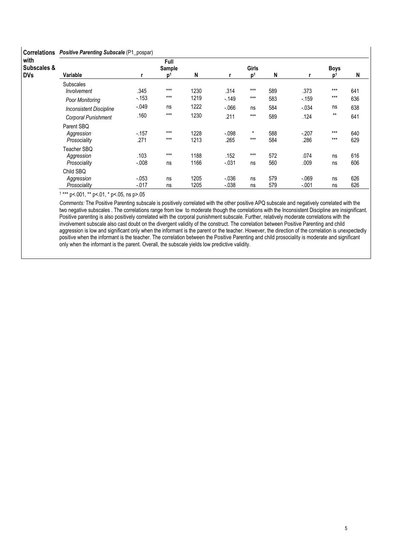| <b>Correlations</b><br>with<br>Subscales &<br><b>DVs</b> | Positive Parenting Subscale (P1_pospar)   |                                       |                |              |                     |                              |            |                   |                               |            |  |  |
|----------------------------------------------------------|-------------------------------------------|---------------------------------------|----------------|--------------|---------------------|------------------------------|------------|-------------------|-------------------------------|------------|--|--|
|                                                          | Variable                                  | Full<br>Sample<br>N<br>$\mathbf{D}^1$ |                |              | r                   | Girls<br>N<br>$\mathsf{D}^1$ |            |                   | <b>Boys</b><br>D <sup>1</sup> | N          |  |  |
|                                                          | Subscales<br>Involvement                  | .345                                  | $***$          | 1230         | .314                | $***$                        | 589        | .373              | $***$                         | 641        |  |  |
|                                                          | Poor Monitoring                           | $-153$                                | $***$          | 1219         | $-0.149$            | $***$                        | 583        | $-159$            | $***$                         | 636        |  |  |
|                                                          | <b>Inconsistent Discipline</b>            | $-0.049$                              | ns             | 1222         | $-0.066$            | ns                           | 584        | $-.034$           | ns                            | 638        |  |  |
|                                                          | Corporal Punishment                       | .160                                  | $***$          | 1230         | .211                | $***$                        | 589        | .124              | $***$                         | 641        |  |  |
|                                                          | Parent SBO<br>Aggression<br>Prosociality  | $-157$<br>.271                        | $***$<br>$***$ | 1228<br>1213 | $-.098$<br>.265     | $\star$<br>$***$             | 588<br>584 | $-.207$<br>.286   | $***$<br>$***$                | 640<br>629 |  |  |
|                                                          | Teacher SBQ<br>Aggression<br>Prosociality | .103<br>$-0.008$                      | $***$<br>ns    | 1188<br>1166 | .152<br>$-.031$     | $***$<br>ns                  | 572<br>560 | .074<br>.009      | ns<br>ns                      | 616<br>606 |  |  |
|                                                          | Child SBQ<br>Aggression<br>Prosociality   | $-.053$<br>$-0.017$                   | ns<br>ns       | 1205<br>1205 | $-0.036$<br>$-0.38$ | ns<br>ns                     | 579<br>579 | $-069$<br>$-.001$ | ns<br>ns                      | 626<br>626 |  |  |

Comments: The Positive Parenting subscale is positively correlated with the other positive APQ subscale and negatively correlated with the two negative subscales . The correlations range from low to moderate though the correlations with the Inconsistent Discipline are insignificant. Positive parenting is also positively correlated with the corporal punishment subscale. Further, relatively moderate correlations with the involvement subscale also cast doubt on the divergent validity of the construct. The correlation between Positive Parenting and child aggression is low and significant only when the informant is the parent or the teacher. However, the direction of the correlation is unexpectedly positive when the informant is the teacher. The correlation between the Positive Parenting and child prosociality is moderate and significant only when the informant is the parent. Overall, the subscale yields low predictive validity.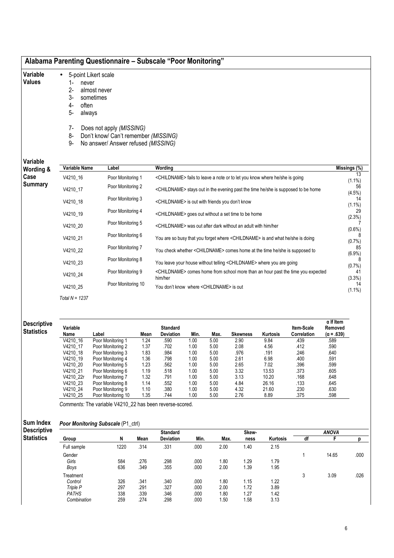- Variable • 5-point Likert scale
- Values
- 1- never 2- almost never
- 3- sometimes
- 4- often
- 5- always
- 
- 7- Does not apply (MISSING)
- 8- Don't know/ Can't remember (MISSING)
- 9- No answer/ Answer refused (MISSING)

Variable

| Variable<br>Wording & | Variable Name    | Label              | Wording                                                                                                 | Missings (%)    |
|-----------------------|------------------|--------------------|---------------------------------------------------------------------------------------------------------|-----------------|
| Case                  | V4210 16         | Poor Monitoring 1  | <childname> fails to leave a note or to let you know where he/she is going</childname>                  | 13<br>$(1.1\%)$ |
| <b>Summary</b>        | V4210 17         | Poor Monitoring 2  | <childname> stays out in the evening past the time he/she is supposed to be home</childname>            | 56<br>(4.5%)    |
|                       | V4210 18         | Poor Monitoring 3  | <childname> is out with friends you don't know</childname>                                              | 14<br>$(1.1\%)$ |
|                       | V4210 19         | Poor Monitoring 4  | <childname> goes out without a set time to be home</childname>                                          | 29<br>(2.3%)    |
|                       | V4210 20         | Poor Monitoring 5  | <childname> was out after dark without an adult with him/her</childname>                                | $(0.6\%)$       |
|                       | V4210 21         | Poor Monitoring 6  | You are so busy that you forget where <childname> is and what he/she is doing</childname>               | 8<br>(0.7%      |
|                       | V4210 22         | Poor Monitoring 7  | You check whether <childname> comes home at the time he/she is supposed to</childname>                  | 85<br>$(6.9\%)$ |
|                       | V4210 23         | Poor Monitoring 8  | You leave your house without telling <childname> where you are going</childname>                        | (0.7%           |
|                       | V4210 24         | Poor Monitoring 9  | <childname> comes home from school more than an hour past the time you expected<br/>him/her</childname> | 41<br>(3.3%)    |
|                       | V4210 25         | Poor Monitoring 10 | You don't know where <childname> is out</childname>                                                     | 14<br>$(1.1\%)$ |
|                       | Total $N = 1237$ |                    |                                                                                                         |                 |

| <b>Descriptive</b> |           |                    |      |                  |      |      |                 |          |             | $\alpha$ If Item  |
|--------------------|-----------|--------------------|------|------------------|------|------|-----------------|----------|-------------|-------------------|
|                    | Variable  |                    |      | <b>Standard</b>  |      |      |                 |          | Item-Scale  | Removed           |
| <b>Statistics</b>  | Name      | Label              | Mean | <b>Deviation</b> | Min. | Max. | <b>Skewness</b> | Kurtosis | Correlation | $(\alpha = .639)$ |
|                    | V4210 16  | Poor Monitoring 1  | 1.24 | .590             | 1.00 | 5.00 | 2.90            | 9.84     | .439        | .589              |
|                    | V4210 17  | Poor Monitoring 2  | 1.37 | .702             | 1.00 | 5.00 | 2.08            | 4.56     | .412        | .590              |
|                    | V4210 18  | Poor Monitoring 3  | 1.83 | .984             | 1.00 | 5.00 | .976            | .191     | .246        | .640              |
|                    | V4210 19  | Poor Monitoring 4  | 1.36 | .798             | 1.00 | 5.00 | 2.61            | 6.98     | .400        | .591              |
|                    | V4210 20  | Poor Monitoring 5  | 1.23 | .562             | 1.00 | 5.00 | 2.65            | 7.02     | .396        | .599              |
|                    | V4210 21  | Poor Monitoring 6  | 1.19 | .518             | 1.00 | 5.00 | 3.32            | 13.53    | .373        | .605              |
|                    | V4210 22r | Poor Monitoring 7  | 1.32 | .791             | 1.00 | 5.00 | 3.13            | 10.20    | .168        | .648              |
|                    | V4210 23  | Poor Monitoring 8  | 1.14 | .552             | 1.00 | 5.00 | 4.84            | 26.16    | .133        | .645              |
|                    | V4210 24  | Poor Monitoring 9  | 1.10 | .380             | 1.00 | 5.00 | 4.32            | 21.60    | .230        | .630              |
|                    | V4210 25  | Poor Monitoring 10 | 1.35 | .744             | 1.00 | 5.00 | 2.76            | 8.89     | .375        | .598              |

Comments: The variable V4210\_22 has been reverse-scored.

## Sum Index Poor Monitoring Subscale (P1\_ctrl)

| <b>Descriptive</b> | __<br>.<br>Skew- |      |      |                  |      |      |      |          |    |              |      |  |
|--------------------|------------------|------|------|------------------|------|------|------|----------|----|--------------|------|--|
|                    |                  |      |      | <b>Standard</b>  |      |      |      |          |    | <b>ANOVA</b> |      |  |
| <b>Statistics</b>  | Group            | N    | Mean | <b>Deviation</b> | Min. | Max. | ness | Kurtosis | df |              |      |  |
|                    | Full sample      | 1220 | .314 | .331             | .000 | 2.00 | 1.40 | 2.15     |    |              |      |  |
|                    | Gender           |      |      |                  |      |      |      |          |    | 14.65        | .000 |  |
|                    | Girls            | 584  | .276 | .298             | .000 | 1.80 | 1.29 | 1.79     |    |              |      |  |
|                    | Boys             | 636  | .349 | .355             | .000 | 2.00 | 1.39 | 1.95     |    |              |      |  |
|                    | Treatment        |      |      |                  |      |      |      |          | 3  | 3.09         | .026 |  |
|                    | Control          | 326  | .341 | .340             | .000 | 1.80 | 1.15 | 1.22     |    |              |      |  |
|                    | Triple P         | 297  | .291 | .327             | .000 | 2.00 | 1.72 | 3.89     |    |              |      |  |
|                    | <b>PATHS</b>     | 338  | .339 | .346             | .000 | 1.80 | 1.27 | 1.42     |    |              |      |  |
|                    | Combination      | 259  | .274 | .298             | .000 | 1.50 | 1.58 | 3.13     |    |              |      |  |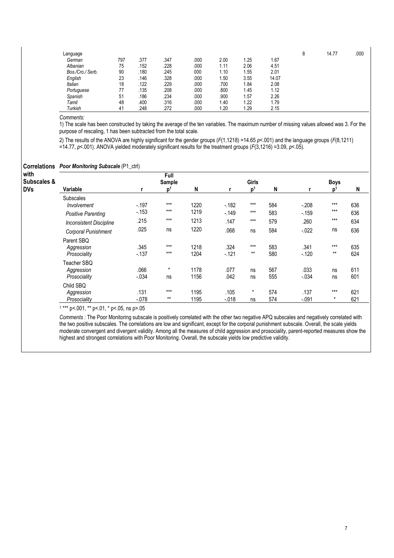| Language         |     |      |      |      |      |      |       | 14.77 | .000 |
|------------------|-----|------|------|------|------|------|-------|-------|------|
| German           | 797 | .377 | .347 | .000 | 2.00 | 1.25 | 1.67  |       |      |
| Albanian         | 75  | .152 | .228 | .000 | 1.11 | 2.06 | 4.51  |       |      |
| Bos./Cro./ Serb. | 90  | .180 | .245 | 000  | 1.10 | 1.55 | 2.01  |       |      |
| English          | 23  | .146 | .328 | .000 | 1.50 | 3.55 | 14.07 |       |      |
| Italian          | 18  | .122 | .229 | .000 | .700 | 1.84 | 2.08  |       |      |
| Portuguese       | 77  | .135 | .208 | .000 | .800 | 1.45 | 1.12  |       |      |
| Spanish          | 51  | .186 | .234 | .000 | .900 | 1.57 | 2.26  |       |      |
| Tamil            | 48  | .400 | .316 | .000 | 1.40 | 1.22 | 1.79  |       |      |
| Turkish          | 41  | .248 | .272 | .000 | 1.20 | 1.29 | 2.15  |       |      |

Comments:

1) The scale has been constructed by taking the average of the ten variables. The maximum number of missing values allowed was 3. For the purpose of rescaling, 1 has been subtracted from the total scale.

2) The results of the ANOVA are highly significant for the gender groups ( $F(1,1218)$  =14.65  $p$ <.001) and the language groups ( $F(8,1211)$ =14.77,  $p$ <.001). ANOVA yielded moderately significant results for the treatment groups ( $F(3,1216)$  =3.09,  $p$ <.05).

## Correlations Poor Monitoring Subscale (P1\_ctrl)

| with<br>Subscales & |                                |                 | Full<br>Sample  |              |                | Girls          |            |                 | <b>Boys</b>    |            |
|---------------------|--------------------------------|-----------------|-----------------|--------------|----------------|----------------|------------|-----------------|----------------|------------|
| <b>DVs</b>          | Variable                       |                 | ים <sup>"</sup> | N            |                | $\mathbf{D}^1$ | N          |                 | n <sup>1</sup> | N          |
|                     | Subscales<br>Involvement       | $-197$          | $***$           | 1220         | $-182$         | $***$          | 584        | $-.208$         | $***$          | 636        |
|                     | <b>Positive Parenting</b>      | $-153$          | $***$           | 1219         | $-149$         | $***$          | 583        | $-159$          | $***$          | 636        |
|                     | <b>Inconsistent Discipline</b> | .215            | $***$           | 1213         | .147           | $***$          | 579        | .260            | $***$          | 634        |
|                     | Corporal Punishment            | .025            | ns              | 1220         | .068           | ns             | 584        | $-0.022$        | ns             | 636        |
|                     | Parent SBQ                     |                 |                 |              |                |                |            |                 |                |            |
|                     | Aggression<br>Prosociality     | .345<br>$-137$  | $***$<br>$***$  | 1218<br>1204 | .324<br>$-121$ | $***$<br>$***$ | 583<br>580 | .341<br>$-.120$ | $***$<br>$***$ | 635<br>624 |
|                     | Teacher SBQ                    |                 |                 |              |                |                |            |                 |                |            |
|                     | Aggression<br>Prosociality     | .066<br>$-.034$ | $\star$<br>ns   | 1178<br>1156 | .077<br>.042   | ns<br>ns       | 567<br>555 | .033<br>$-.034$ | ns<br>ns       | 611<br>601 |
|                     | Child SBO<br>Aggression        | .131            | $***$           | 1195         | .105           | $\star$        | 574        | .137            | $***$          | 621        |
|                     | Prosociality                   | $-.078$         | $***$           | 1195         | $-.018$        | ns             | 574        | $-.091$         | $\star$        | 621        |

1 \*\*\* p<.001, \*\* p<.01, \* p<.05, ns p>.05

Comments : The Poor Monitoring subscale is positively correlated with the other two negative APQ subscales and negatively correlated with the two positive subscales. The correlations are low and significant, except for the corporal punishment subscale. Overall, the scale yields moderate convergent and divergent validity. Among all the measures of child aggression and prosociality, parent-reported measures show the measures of child aggression and prosociality, parent-reported measures show the highest and strongest correlations with Poor Monitoring. Overall, the subscale yields low predictive validity.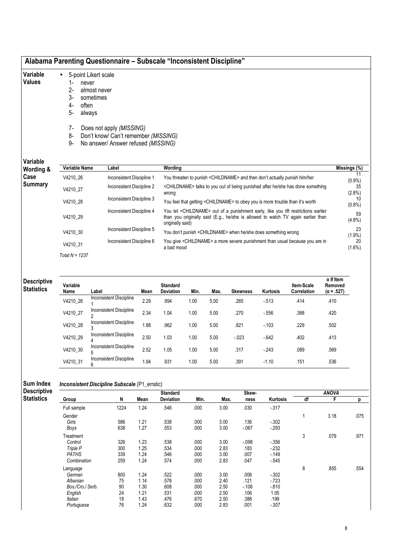| Alabama Parenting Questionnaire – Subscale "Inconsistent Discipline" |  |  |  |  |
|----------------------------------------------------------------------|--|--|--|--|
|----------------------------------------------------------------------|--|--|--|--|

| Variable      | 5-point Likert scale |
|---------------|----------------------|
| <b>Values</b> | 1- never             |

- Values
- 1- never<br>2- almos almost never
	-
	- 3- sometimes
	- 4- often<br>5- alway
	- always
	- 7- Does not apply (MISSING)
	- 8- Don't know/ Can't remember (MISSING)
- 9- No answer/ Answer refused (MISSING)

Variable

| Variable<br>Wording & | Variable Name    | Label                     | Wordina                                                                                                                                                                                                 | $\overline{\mathsf{Missings}}$ (%) |
|-----------------------|------------------|---------------------------|---------------------------------------------------------------------------------------------------------------------------------------------------------------------------------------------------------|------------------------------------|
| Case                  | V4210 26         | Inconsistent Discipline 1 | You threaten to punish <childname> and then don't actually punish him/her</childname>                                                                                                                   | 11<br>$(0.9\%)$                    |
| Summary               | V4210 27         | Inconsistent Discipline 2 | <childname> talks to you out of being punished after he/she has done something<br/>wrong</childname>                                                                                                    | 35<br>$(2.8\%)$                    |
|                       | V4210 28         | Inconsistent Discipline 3 | You feel that getting <childname> to obey you is more trouble than it's worth</childname>                                                                                                               | 10<br>$(0.8\%)$                    |
|                       | V4210 29         | Inconsistent Discipline 4 | You let <childname> out of a punishment early, like you lift restrictions earlier<br/>than you originally said (E.g., he/she is allowed to watch TV again earlier than<br/>originally said)</childname> | 59<br>$(4.8\%)$                    |
|                       | V4210 30         | Inconsistent Discipline 5 | You don't punish <childname> when he/she does something wrong</childname>                                                                                                                               | 23<br>$(1.9\%)$                    |
|                       | V4210 31         | Inconsistent Discipline 6 | You give <childname> a more severe punishment than usual because you are in<br/>a bad mood</childname>                                                                                                  | 20<br>$(1.6\%)$                    |
|                       | Total $N = 1237$ |                           |                                                                                                                                                                                                         |                                    |

| <b>Descriptive</b><br><b>Statistics</b> | Variable<br>Name | Label                          | Mean | <b>Standard</b><br><b>Deviation</b> | Min. | Max. | <b>Skewness</b> | <b>Kurtosis</b> | Item-Scale<br><b>Correlation</b> | $\alpha$ If Item<br>Removed<br>$(\alpha = .527)$ |
|-----------------------------------------|------------------|--------------------------------|------|-------------------------------------|------|------|-----------------|-----------------|----------------------------------|--------------------------------------------------|
|                                         | V4210_26         | <b>Inconsistent Discipline</b> | 2.29 | .994                                | 1.00 | 5.00 | .265            | $-513$          | .414                             | .410                                             |
|                                         | V4210_27         | <b>Inconsistent Discipline</b> | 2.34 | 1.04                                | 1.00 | 5.00 | .270            | $-556$          | .388                             | .420                                             |
|                                         | V4210_28         | <b>Inconsistent Discipline</b> | 1.88 | .962                                | 1.00 | 5.00 | .821            | $-.103$         | .229                             | .502                                             |
|                                         | V4210_29         | <b>Inconsistent Discipline</b> | 2.50 | 1.03                                | 1.00 | 5.00 | $-0.023$        | $-642$          | .402                             | .413                                             |
|                                         | V4210_30         | <b>Inconsistent Discipline</b> | 2.52 | 1.05                                | 1.00 | 5.00 | .317            | $-243$          | .089                             | .569                                             |
|                                         | V4210_31         | <b>Inconsistent Discipline</b> | 1.94 | .931                                | 1.00 | 5.00 | .391            | $-1.10$         | .151                             | .536                                             |

### Sum Index<br>Deparintive Inconsistent Discipline Subscale (P1\_erratic)

| <b>Descriptive</b> |                  |      |      | <b>Standard</b>  |      |      | Skew-    |          |    | <b>ANOVA</b> |      |
|--------------------|------------------|------|------|------------------|------|------|----------|----------|----|--------------|------|
| <b>Statistics</b>  | Group            | N    | Mean | <b>Deviation</b> | Min. | Max. | ness     | Kurtosis | df | F            | n    |
|                    | Full sample      | 1224 | 1.24 | .546             | .000 | 3.00 | .030     | $-317$   |    |              |      |
|                    | Gender           |      |      |                  |      |      |          |          |    | 3.18         | .075 |
|                    | Girls            | 586  | 1.21 | .538             | .000 | 3.00 | .136     | $-302$   |    |              |      |
|                    | Boys             | 638  | 1.27 | .553             | .000 | 3.00 | $-067$   | $-293$   |    |              |      |
|                    | Treatment        |      |      |                  |      |      |          |          | 3  | .079         | .971 |
|                    | Control          | 326  | 1.23 | .538             | .000 | 3.00 | $-0.098$ | $-356$   |    |              |      |
|                    | Triple P         | 300  | 1.25 | .534             | .000 | 2.83 | .183     | $-232$   |    |              |      |
|                    | <b>PATHS</b>     | 339  | 1.24 | .546             | .000 | 3.00 | .007     | $-149$   |    |              |      |
|                    | Combination      | 259  | 1.24 | .574             | .000 | 2.83 | .047     | $-545$   |    |              |      |
|                    | Language         |      |      |                  |      |      |          |          | 8  | .855         | .554 |
|                    | German           | 800  | 1.24 | .522             | .000 | 3.00 | .006     | $-302$   |    |              |      |
|                    | Albanian         | 75   | 1.14 | .578             | .000 | 2.40 | .121     | $-723$   |    |              |      |
|                    | Bos./Cro./ Serb. | 90   | 1.30 | .608             | .000 | 2.50 | $-106$   | $-0.810$ |    |              |      |
|                    | English          | 24   | 1.21 | .531             | .000 | 2.50 | .106     | 1.05     |    |              |      |
|                    | Italian          | 18   | 1.43 | .476             | .670 | 2.50 | .388     | .199     |    |              |      |
|                    | Portuguese       | 76   | 1.24 | .632             | .000 | 2.83 | .001     | $-307$   |    |              |      |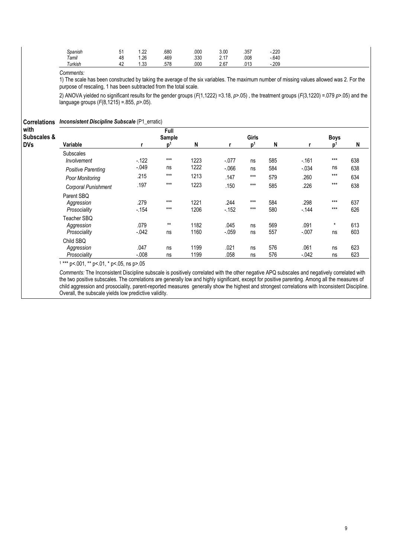| Spanish | 51 | 1.22 | .680 | .000 | 3.00 | .357 | $-220$ |
|---------|----|------|------|------|------|------|--------|
| Tamil   | 48 | 1.26 | .469 | .330 | 2.17 | .008 | $-640$ |
| Turkish | 42 | 1.33 | .578 | .000 | 2.67 | .013 | $-209$ |

## Comments:

1) The scale has been constructed by taking the average of the six variables. The maximum number of missing values allowed was 2. For the purpose of rescaling, 1 has been subtracted from the total scale.

2) ANOVA yielded no significant results for the gender groups (F(1,1222) =3.18, p>.05), the treatment groups (F(3,1220) =.079 p>.05) and the language groups ( $F(8,1215) = .855, p > .05$ ).

| <b>Correlations</b> | <b>Inconsistent Discipline Subscale (P1_erratic)</b> |         |                |      |          |                |     |          |             |     |  |  |  |
|---------------------|------------------------------------------------------|---------|----------------|------|----------|----------------|-----|----------|-------------|-----|--|--|--|
| with<br>Subscales & |                                                      |         | Full<br>Sample |      |          | <b>Girls</b>   |     |          | <b>Boys</b> |     |  |  |  |
| <b>DVs</b>          | Variable                                             |         | p <sup>1</sup> | N    |          | p <sup>1</sup> | N   |          | D.          | N   |  |  |  |
|                     | <b>Subscales</b><br>Involvement                      | $-122$  | $***$          | 1223 | $-.077$  | ns             | 585 | $-161$   | $***$       | 638 |  |  |  |
|                     | <b>Positive Parenting</b>                            | $-.049$ | ns             | 1222 | $-0.066$ | ns             | 584 | $-.034$  | ns          | 638 |  |  |  |
|                     | Poor Monitoring                                      | .215    | $***$          | 1213 | .147     | $***$          | 579 | .260     | $***$       | 634 |  |  |  |
|                     | Corporal Punishment                                  | .197    | $***$          | 1223 | .150     | $***$          | 585 | .226     | $***$       | 638 |  |  |  |
|                     | Parent SBQ                                           |         |                |      |          |                |     |          |             |     |  |  |  |
|                     | Aggression                                           | .279    | $***$          | 1221 | .244     | $***$          | 584 | .298     | $***$       | 637 |  |  |  |
|                     | Prosociality                                         | $-154$  | $***$          | 1206 | $-152$   | $***$          | 580 | $-144$   | $***$       | 626 |  |  |  |
|                     | Teacher SBQ                                          |         |                |      |          |                |     |          |             |     |  |  |  |
|                     | Aggression                                           | .079    | $***$          | 1182 | .045     | ns             | 569 | .091     | $\star$     | 613 |  |  |  |
|                     | Prosociality                                         | $-.042$ | ns             | 1160 | $-.059$  | ns             | 557 | $-.007$  | ns          | 603 |  |  |  |
|                     | Child SBQ                                            |         |                |      |          |                |     |          |             |     |  |  |  |
|                     | Aggression                                           | .047    | ns             | 1199 | .021     | ns             | 576 | .061     | ns          | 623 |  |  |  |
|                     | Prosociality                                         | $-.008$ | ns             | 1199 | .058     | ns             | 576 | $-0.042$ | ns          | 623 |  |  |  |

1 \*\*\* p<.001, \*\* p<.01, \* p<.05, ns p>.05

Comments: The Inconsistent Discipline subscale is positively correlated with the other negative APQ subscales and negatively correlated with the two positive subscales. The correlations are generally low and highly significant, except for positive parenting. Among all the measures of child aggression and prosociality, parent-reported measures generally show the highest and strongest correlations with Inconsistent Discipline. Overall, the subscale yields low predictive validity.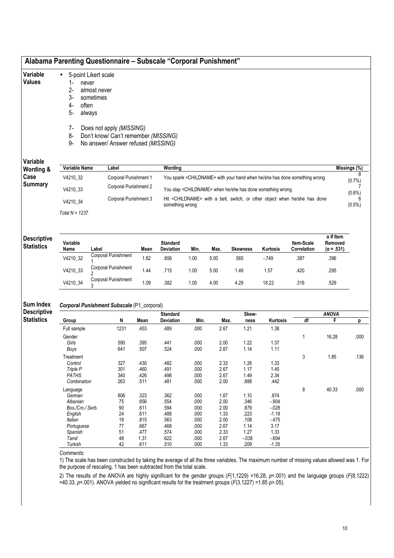|  |  |  | Alabama Parenting Questionnaire - Subscale "Corporal Punishment" |
|--|--|--|------------------------------------------------------------------|
|--|--|--|------------------------------------------------------------------|

#### Variable • 5-point Likert scale

- Values
- 1- never<br>2- almos
	- 2- almost never<br>3- sometimes 3- sometimes
	-
	- 4- often<br>5- alway always
	-
	- 7- Does not apply (MISSING)
	- 8- Don't know/ Can't remember (MISSING)
	- 9- No answer/ Answer refused (MISSING)

## Variable

| Variable<br>Wording & | Variable Name    | Label                 | Wordina                                                                                                   | Missings (%) |
|-----------------------|------------------|-----------------------|-----------------------------------------------------------------------------------------------------------|--------------|
| Case                  | V4210 32         | Corporal Punishment 1 | You spank <childname> with your hand when he/she has done something wrong</childname>                     | $(0.7\%)$    |
| <b>Summary</b>        | V4210 33         | Corporal Punishment 2 | You slap <childname> when he/she has done something wrong</childname>                                     | $(0.6\%)$    |
|                       | V4210 34         | Corporal Punishment 3 | Hit <childname> with a belt, switch, or other object when he/she has done<br/>something wrong</childname> | $(0.5\%)$    |
|                       | Total $N = 1237$ |                       |                                                                                                           |              |

| <b>Descriptive</b><br><b>Statistics</b> | Variable<br>Name | Label                      | Mean | <b>Standard</b><br><b>Deviation</b> | Min. | Max. | <b>Skewness</b> | <b>Kurtosis</b> | Item-Scale<br><b>Correlation</b> | $\alpha$ If Item<br>Removed<br>$(\alpha = .531)$ |
|-----------------------------------------|------------------|----------------------------|------|-------------------------------------|------|------|-----------------|-----------------|----------------------------------|--------------------------------------------------|
|                                         | V4210_32         | Corporal Punishment        | 1.82 | .856                                | 1.00 | 5.00 | .565            | $-749$          | .387                             | .396                                             |
|                                         | V4210_33         | Corporal Punishment        | 1.44 | .715                                | 1.00 | 5.00 | 1.49            | . 57            | .420                             | .295                                             |
|                                         | V4210_34         | <b>Corporal Punishment</b> | 1.09 | .382                                | 1.00 | 4.00 | 4.29            | 18.22           | .316                             | .529                                             |

#### Sum Index Corporal Punishment Subscale (P1\_corporal)

**Descriptive** 

**Statistics** 

|                  |      |      | <b>Standard</b>  |      |      | Skew-    |                 |    | <b>ANOVA</b> |      |
|------------------|------|------|------------------|------|------|----------|-----------------|----|--------------|------|
| Group            | N    | Mean | <b>Deviation</b> | Min. | Max. | ness     | <b>Kurtosis</b> | df | F            | р    |
| Full sample      | 1231 | .453 | .489             | .000 | 2.67 | 1.21     | 1.38            |    |              |      |
| Gender           |      |      |                  |      |      |          |                 | 1  | 16.28        | .000 |
| Girls            | 590  | .395 | .441             | .000 | 2.00 | 1.22     | 1.37            |    |              |      |
| Boys             | 641  | .507 | .524             | .000 | 2.67 | 1.14     | 1.11            |    |              |      |
| Treatment        |      |      |                  |      |      |          |                 | 3  | 1.85         | .136 |
| Control          | 327  | .430 | .482             | .000 | 2.33 | 1.26     | 1.33            |    |              |      |
| Triple P         | 301  | .460 | .491             | .000 | 2.67 | 1.17     | 1.45            |    |              |      |
| PATHS            | 340  | .426 | .498             | .000 | 2.67 | 1.49     | 2.34            |    |              |      |
| Combination      | 263  | .511 | .481             | .000 | 2.00 | .888     | .442            |    |              |      |
| Language         |      |      |                  |      |      |          |                 | 8  | 40.33        | .000 |
| German           | 806  | .323 | .362             | .000 | 1.67 | 1.10     | .874            |    |              |      |
| Albanian         | 75   | .656 | .554             | .000 | 2.00 | .346     | $-904$          |    |              |      |
| Bos./Cro./ Serb. | 90   | .611 | .594             | .000 | 2.00 | .879     | $-028$          |    |              |      |
| English          | 24   | .611 | .488             | .000 | 1.33 | .223     | $-1.18$         |    |              |      |
| Italian          | 18   | .815 | .563             | .000 | 2.00 | .108     | - 475           |    |              |      |
| Portuguese       | 77   | .667 | .468             | .000 | 2.67 | 1.14     | 3.17            |    |              |      |
| Spanish          | 51   | .477 | .574             | .000 | 2.33 | 1.27     | 1.33            |    |              |      |
| Tamil            | 48   | 1.31 | .622             | .000 | 2.67 | $-0.038$ | - 694           |    |              |      |
| Turkish          | 42   | .611 | .510             | .000 | 1.33 | .209     | $-1.35$         |    |              |      |

Comments:

1) The scale has been constructed by taking the average of all the three variables. The maximum number of missing values allowed was 1. For the purpose of rescaling, 1 has been subtracted from the total scale.

2) The results of the ANOVA are highly significant for the gender groups (F(1,1229) =16.28, p<.001) and the language groups (F(8,1222) =40.33,  $p$ <.001). ANOVA yielded no significant results for the treatment groups ( $F(3,1227)$  =1.85  $p$ >.05).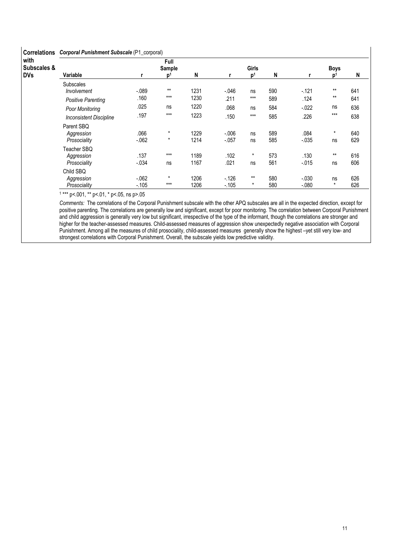| <b>Correlations</b>            | Corporal Punishment Subscale (P1_corporal) |                  |                    |              |                   |                  |            |                    |               |            |  |  |
|--------------------------------|--------------------------------------------|------------------|--------------------|--------------|-------------------|------------------|------------|--------------------|---------------|------------|--|--|
| with<br><b>Subscales &amp;</b> |                                            |                  | Full<br>Sample     |              |                   | Girls            |            |                    | <b>Boys</b>   |            |  |  |
| <b>DVs</b>                     | Variable                                   | r                | p <sup>1</sup>     | N            |                   | p <sup>1</sup>   | N          |                    | D             | N          |  |  |
|                                | <b>Subscales</b><br>Involvement            | $-089$           | $***$              | 1231         | $-0.046$          | ns               | 590        | $-121$             | $***$         | 641        |  |  |
|                                | <b>Positive Parenting</b>                  | .160             | $***$              | 1230         | .211              | $***$            | 589        | .124               | $***$         | 641        |  |  |
|                                | Poor Monitoring                            | .025             | ns                 | 1220         | .068              | ns               | 584        | $-0.022$           | ns            | 636        |  |  |
|                                | <b>Inconsistent Discipline</b>             | .197             | $***$              | 1223         | .150              | $***$            | 585        | .226               | $***$         | 638        |  |  |
|                                | Parent SBQ<br>Aggression                   | .066             | $\star$<br>$\star$ | 1229         | $-0.006$          | ns               | 589        | .084               | $\star$       | 640        |  |  |
|                                | Prosociality                               | $-062$           |                    | 1214         | $-.057$           | ns               | 585        | $-0.035$           | ns            | 629        |  |  |
|                                | Teacher SBQ<br>Aggression<br>Prosociality  | .137<br>$-034$   | $***$<br>ns        | 1189<br>1167 | .102<br>.021      | $\star$<br>ns    | 573<br>561 | .130<br>$-0.015$   | $***$<br>ns   | 616<br>606 |  |  |
|                                | Child SBQ<br>Aggression<br>Prosociality    | $-062$<br>$-105$ | $\star$<br>$***$   | 1206<br>1206 | $-126$<br>$-.105$ | $***$<br>$\star$ | 580<br>580 | $-.030$<br>$-.080$ | ns<br>$\star$ | 626<br>626 |  |  |

Comments: The correlations of the Corporal Punishment subscale with the other APQ subscales are all in the expected direction, except for positive parenting. The correlations are generally low and significant, except for poor monitoring. The correlation between Corporal Punishment and child aggression is generally very low but significant, irrespective of the type of the informant, though the correlations are stronger and higher for the teacher-assessed measures. Child-assessed measures of aggression show unexpectedly negative association with Corporal Punishment. Among all the measures of child prosociality, child-assessed measures generally show the highest –yet still very low- and strongest correlations with Corporal Punishment. Overall, the subscale yields low predictive validity.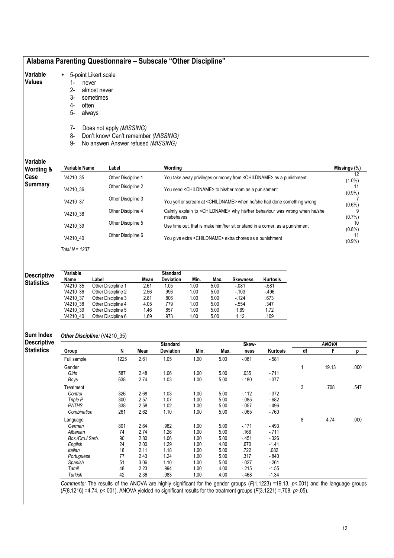|                                         |                             | Alabama Parenting Questionnaire - Subscale "Other Discipline"               |              |                 |              |              |                                                                     |                                                                                       |              |              |                 |
|-----------------------------------------|-----------------------------|-----------------------------------------------------------------------------|--------------|-----------------|--------------|--------------|---------------------------------------------------------------------|---------------------------------------------------------------------------------------|--------------|--------------|-----------------|
| Variable                                | $\bullet$                   | 5-point Likert scale                                                        |              |                 |              |              |                                                                     |                                                                                       |              |              |                 |
| <b>Values</b>                           | 1-                          | never                                                                       |              |                 |              |              |                                                                     |                                                                                       |              |              |                 |
|                                         | $2-$                        | almost never                                                                |              |                 |              |              |                                                                     |                                                                                       |              |              |                 |
|                                         | 3-                          | sometimes                                                                   |              |                 |              |              |                                                                     |                                                                                       |              |              |                 |
|                                         | 4-<br>often                 |                                                                             |              |                 |              |              |                                                                     |                                                                                       |              |              |                 |
|                                         | 5-                          | always                                                                      |              |                 |              |              |                                                                     |                                                                                       |              |              |                 |
|                                         | $7-$                        | Does not apply (MISSING)                                                    |              |                 |              |              |                                                                     |                                                                                       |              |              |                 |
|                                         | 8-<br>9-                    | Don't know/ Can't remember (MISSING)<br>No answer/ Answer refused (MISSING) |              |                 |              |              |                                                                     |                                                                                       |              |              |                 |
|                                         |                             |                                                                             |              |                 |              |              |                                                                     |                                                                                       |              |              |                 |
| Variable<br>Wording &                   | Variable Name               | Label                                                                       |              | Wording         |              |              |                                                                     |                                                                                       |              |              | Missings (%)    |
| Case                                    | V4210_35                    | Other Discipline 1                                                          |              |                 |              |              |                                                                     | You take away privileges or money from <childname> as a punishment</childname>        |              |              | 12<br>$(1.0\%)$ |
| <b>Summary</b>                          | V4210_36                    | Other Discipline 2                                                          |              |                 |              |              | You send <childname> to his/her room as a punishment</childname>    |                                                                                       |              |              | 11<br>(0.9%     |
|                                         | V4210_37                    | Other Discipline 3                                                          |              |                 |              |              |                                                                     | You yell or scream at <childname> when he/she had done something wrong</childname>    |              |              | $(0.6\%)$       |
|                                         | V4210_38                    | Other Discipline 4                                                          |              | misbehaves      |              |              |                                                                     | Calmly explain to <childname> why his/her behaviour was wrong when he/she</childname> |              |              | $(0.7\%)$       |
|                                         | V4210_39                    | Other Discipline 5                                                          |              |                 |              |              |                                                                     | Use time out, that is make him/her sit or stand in a corner, as a punishment          |              |              | 10<br>$(0.8\%)$ |
|                                         | V4210_40                    | Other Discipline 6                                                          |              |                 |              |              | You give extra <childname> extra chores as a punishment</childname> |                                                                                       |              |              | 11<br>(0.9%     |
|                                         | Total N = 1237              |                                                                             |              |                 |              |              |                                                                     |                                                                                       |              |              |                 |
|                                         | Variable                    |                                                                             |              | Standard        |              |              |                                                                     |                                                                                       |              |              |                 |
| <b>Descriptive</b><br><b>Statistics</b> | Name                        | Label                                                                       | Mean         | Deviation       | Min.         | Max.         | <b>Skewness</b>                                                     | Kurtosis                                                                              |              |              |                 |
|                                         | V4210 35                    | Other Discipline 1                                                          | 2.61         | 1.05            | 1.00         | 5.00         | $-081$                                                              | $-581$                                                                                |              |              |                 |
|                                         | V4210_36                    | Other Discipline 2                                                          | 2.56         | .996            | 1.00         | 5.00         | $-103$                                                              | $-496$                                                                                |              |              |                 |
|                                         | V4210_37<br>V4210_38        | Other Discipline 3<br>Other Discipline 4                                    | 2.81<br>4.05 | .806<br>.779    | 1.00<br>1.00 | 5.00<br>5.00 | $-124$<br>$-554$                                                    | .673<br>.347                                                                          |              |              |                 |
|                                         | V4210_39                    | Other Discipline 5                                                          | 1.46         | .857            | 1.00         | 5.00         | 1.69                                                                | 1.72                                                                                  |              |              |                 |
|                                         | V4210_40                    | Other Discipline 6                                                          | 1.69         | .973            | 1.00         | 5.00         | 1.12                                                                | .109                                                                                  |              |              |                 |
| <b>Sum Index</b>                        |                             | Other Discipline: (V4210_35)                                                |              |                 |              |              |                                                                     |                                                                                       |              |              |                 |
| <b>Descriptive</b>                      |                             |                                                                             |              | <b>Standard</b> |              |              | Skew-                                                               |                                                                                       |              | <b>ANOVA</b> |                 |
| <b>Statistics</b>                       | Group                       | N                                                                           | Mean         | Deviation       | Min.         | Max.         | ness                                                                | Kurtosis                                                                              | df           | F            | p               |
|                                         | Full sample                 | 1225                                                                        | 2.61         | 1.05            | 1.00         | 5.00         | $-081$                                                              | $-581$                                                                                |              |              |                 |
|                                         | Gender                      |                                                                             |              |                 |              |              |                                                                     |                                                                                       | $\mathbf{1}$ | 19.13        | .000            |
|                                         | Girls                       | 587                                                                         | 2.48         | 1.06            | 1.00         | 5.00         | .035                                                                | $-711$                                                                                |              |              |                 |
|                                         | Boys                        | 638                                                                         | 2.74         | 1.03            | 1.00         | 5.00         | $-180$                                                              | $-377$                                                                                |              |              |                 |
|                                         | Treatment                   |                                                                             |              |                 |              |              |                                                                     |                                                                                       | 3            | .708         | .547            |
|                                         | Control                     | 326                                                                         | 2.68         | 1.03            | 1.00         | 5.00         | $-112$                                                              | $-372$                                                                                |              |              |                 |
|                                         | Triple P                    | 300                                                                         | 2.57         | 1.07            | 1.00         | 5.00         | $-0.085$                                                            | $-682$                                                                                |              |              |                 |
|                                         | <b>PATHS</b><br>Combination | 338                                                                         | 2.58         | 1.02            | 1.00         | 5.00         | $-0.057$                                                            | $-496$                                                                                |              |              |                 |
|                                         |                             | 261                                                                         | 2.62         | 1.10            | 1.00         | 5.00         | $-065$                                                              | $-760$                                                                                |              |              |                 |
|                                         | Language                    |                                                                             | 2.64         | .982            |              |              |                                                                     |                                                                                       | 8            | 4.74         | .000            |
|                                         | German<br>Albanian          | 801<br>74                                                                   | 2.74         | 1.26            | 1.00<br>1.00 | 5.00<br>5.00 | $-171$<br>.166                                                      | - 493<br>$-711$                                                                       |              |              |                 |
|                                         | Bos./Cro./ Serb.            | 90                                                                          | 2.80         | 1.06            | 1.00         | 5.00         | $-451$                                                              | $-326$                                                                                |              |              |                 |
|                                         | English                     | 24                                                                          | 2.00         | 1.29            | 1.00         | 4.00         | .670                                                                | $-1.41$                                                                               |              |              |                 |
|                                         | Italian                     | 18                                                                          | 2.11         | 1.18            | 1.00         | 5.00         | .722                                                                | .082                                                                                  |              |              |                 |
|                                         | Portuguese                  | 77                                                                          | 2.43         | 1.24            | 1.00         | 5.00         | .317                                                                | $-840$                                                                                |              |              |                 |
|                                         | Spanish                     | 51                                                                          | 3.06         | 1.10            | 1.00         | 5.00         | $-027$                                                              | $-261$                                                                                |              |              |                 |
|                                         | Tamil                       | 48                                                                          | 2.23         | .994            | 1.00         | 4.00         | $-215$                                                              | $-1.55$                                                                               |              |              |                 |
|                                         | Turkish                     | 42                                                                          | 2.36         | .983            | 1.00         | 4.00         | $-468$                                                              | $-1.34$                                                                               |              |              |                 |

Comments: The results of the ANOVA are highly significant for the gender groups (F(1,1223) =19.13, p<.001) and the language groups  $(F(8, 1216) = 4.74, p < 001)$ . ANOVA yielded no significant results for the treatment groups  $(F(3, 1221) = 708, p > 05)$ .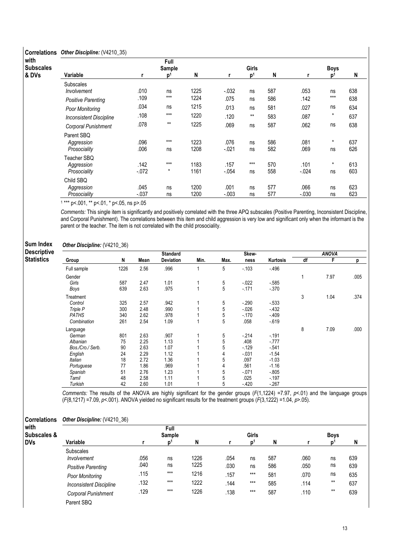## Correlations Other Discipline: (V4210\_35)

|                                |          | Full           |      |          |                |     |         |             |     |
|--------------------------------|----------|----------------|------|----------|----------------|-----|---------|-------------|-----|
|                                |          | Sample         |      |          | <b>Girls</b>   |     |         | <b>Boys</b> |     |
| Variable                       | r        | $\mathbf{D}^1$ | N    | r        | p <sup>1</sup> | N   | r       | 'n          | N   |
| <b>Subscales</b>               |          |                |      |          |                |     |         |             |     |
| Involvement                    | .010     | ns             | 1225 | $-0.032$ | ns             | 587 | .053    | ns          | 638 |
| <b>Positive Parenting</b>      | .109     | $***$          | 1224 | .075     | ns             | 586 | .142    | $***$       | 638 |
| Poor Monitoring                | .034     | ns             | 1215 | .013     | ns             | 581 | .027    | ns          | 634 |
| <b>Inconsistent Discipline</b> | .108     | $***$          | 1220 | .120     | $***$          | 583 | .087    | $\star$     | 637 |
| Corporal Punishment            | .078     | $***$          | 1225 | .069     | ns             | 587 | .062    | ns          | 638 |
| Parent SBQ                     |          |                |      |          |                |     |         |             |     |
| Aggression                     | .096     | $***$          | 1223 | .076     | ns             | 586 | .081    | $\star$     | 637 |
| Prosociality                   | .006     | ns             | 1208 | $-.021$  | ns             | 582 | .069    | ns          | 626 |
| Teacher SBQ                    |          |                |      |          |                |     |         |             |     |
| Aggression                     | .142     | $***$          | 1183 | .157     | $***$          | 570 | .101    | $\star$     | 613 |
| Prosociality                   | $-0.072$ | $^\star$       | 1161 | $-.054$  | ns             | 558 | $-024$  | ns          | 603 |
| Child SBQ                      |          |                |      |          |                |     |         |             |     |
| Aggression                     | .045     | ns             | 1200 | .001     | ns             | 577 | .066    | ns          | 623 |
| Prosociality                   | $-.037$  | ns             | 1200 | $-.003$  | ns             | 577 | $-.030$ | ns          | 623 |

1 \*\*\* p<.001, \*\* p<.01, \* p<.05, ns p>.05

Comments: This single item is significantly and positively correlated with the three APQ subscales (Positive Parenting, Inconsistent Discipline, and Corporal Punishment). The correlations between this item and child aggression is very low and significant only when the informant is the parent or the teacher. The item is not correlated with the child prosociality.

#### Sum Index Other Discipline: (V4210\_36)

Descriptive **Statistics** 

|                  |      |      | <b>Standard</b>  |                         |      | Skew-    |          |    | <b>ANOVA</b> |      |
|------------------|------|------|------------------|-------------------------|------|----------|----------|----|--------------|------|
| Group            | N    | Mean | <b>Deviation</b> | Min.                    | Max. | ness     | Kurtosis | df | F            | p    |
| Full sample      | 1226 | 2.56 | .996             | $\overline{\mathbf{A}}$ | 5    | $-103$   | $-496$   |    |              |      |
| Gender           |      |      |                  |                         |      |          |          |    | 7.97         | .005 |
| Girls            | 587  | 2.47 | 1.01             |                         | 5    | $-022$   | $-585$   |    |              |      |
| Boys             | 639  | 2.63 | .975             |                         | 5    | $-171$   | $-370$   |    |              |      |
| Treatment        |      |      |                  |                         |      |          |          | 3  | 1.04         | .374 |
| Control          | 325  | 2.57 | .942             |                         | 5    | $-290$   | $-533$   |    |              |      |
| Triple P         | 300  | 2.48 | .990             |                         | 5    | $-0.026$ | $-432$   |    |              |      |
| <b>PATHS</b>     | 340  | 2.62 | .978             |                         | 5    | $-170$   | $-409$   |    |              |      |
| Combination      | 261  | 2.54 | 1.09             |                         | 5    | .058     | $-619$   |    |              |      |
| Language         |      |      |                  |                         |      |          |          | 8  | 7.09         | .000 |
| German           | 801  | 2.63 | .907             |                         | 5    | $-214$   | $-191$   |    |              |      |
| Albanian         | 75   | 2.25 | 1.13             |                         | 5    | .408     | $-777$   |    |              |      |
| Bos./Cro./ Serb. | 90   | 2.63 | 1.07             |                         | 5    | $-129$   | $-541$   |    |              |      |
| English          | 24   | 2.29 | 1.12             |                         | 4    | $-0.031$ | $-1.54$  |    |              |      |
| Italian          | 18   | 2.72 | 1.36             |                         | 5    | .097     | $-1.03$  |    |              |      |
| Portuguese       | 77   | 1.86 | .969             |                         | 4    | .561     | $-1.16$  |    |              |      |
| Spanish          | 51   | 2.76 | 1.23             |                         | 5    | $-071$   | $-0.805$ |    |              |      |
| Tamil            | 48   | 2.58 | 1.11             |                         | 5    | .025     | $-197$   |    |              |      |
| Turkish          | 42   | 2.60 | 1.01             |                         | 5    | $-420$   | $-267$   |    |              |      |

Comments: The results of the ANOVA are highly significant for the gender groups  $(F(1, 1224) = 7.97, p < 0.01)$  and the language groups  $(F(8,1217) = 7.09, p < 001)$ . ANOVA yielded no significant results for the treatment groups  $(F(3,1212) = 1.04, p > 05)$ .

## Correlations Other Discipline: (V4210\_36)

| with                   |                                |      | Full           |      |      |                |     |      |             |     |
|------------------------|--------------------------------|------|----------------|------|------|----------------|-----|------|-------------|-----|
| <b>Subscales &amp;</b> |                                |      | Sample         |      |      | Girls          |     |      | <b>Boys</b> |     |
| <b>DVs</b>             | Variable                       |      | $\mathbf{D}^1$ | N    |      | n <sup>1</sup> | N   |      | n           | N   |
|                        | <b>Subscales</b>               |      |                |      |      |                |     |      |             |     |
|                        | Involvement                    | .056 | ns             | 1226 | .054 | ns             | 587 | .060 | ns          | 639 |
|                        | Positive Parenting             | .040 | ns             | 1225 | .030 | ns             | 586 | .050 | ns          | 639 |
|                        | Poor Monitoring                | .115 | $***$          | 1216 | .157 | $***$          | 581 | .070 | ns          | 635 |
|                        | <b>Inconsistent Discipline</b> | .132 | $***$          | 1222 | .144 | $***$          | 585 | .114 | $***$       | 637 |
|                        | Corporal Punishment            | .129 | $***$          | 1226 | .138 | $***$          | 587 | .110 | $***$       | 639 |
|                        | Parent SBQ                     |      |                |      |      |                |     |      |             |     |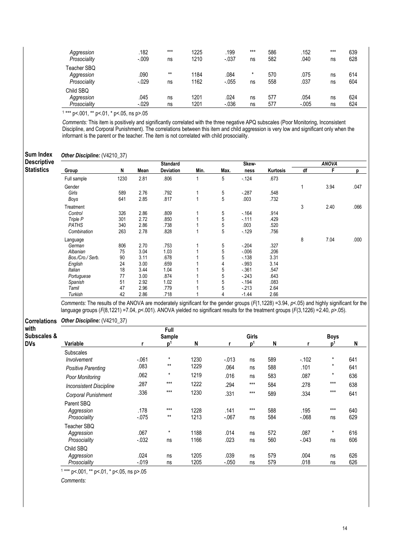| Aggression<br>Prosociality                | .182<br>$-.009$ | $***$<br>ns | 1225<br>1210 | .199<br>$-.037$ | $***$<br>ns    | 586<br>582 | .152<br>.040    | ***<br>ns | 639<br>628 |
|-------------------------------------------|-----------------|-------------|--------------|-----------------|----------------|------------|-----------------|-----------|------------|
| Teacher SBQ<br>Aggression<br>Prosociality | .090<br>$-.029$ | $***$<br>ns | 1184<br>1162 | .084<br>$-.055$ | $^\star$<br>ns | 570<br>558 | .075<br>.037    | ns<br>ns  | 614<br>604 |
| Child SBQ<br>Aggression<br>Prosociality   | .045<br>$-.029$ | ns<br>ns    | 1201<br>1201 | .024<br>$-.036$ | ns<br>ns       | 577<br>577 | .054<br>$-.005$ | ns<br>ns  | 624<br>624 |

Comments: This item is positively and significantly correlated with the three negative APQ subscales (Poor Monitoring, Inconsistent Discipline, and Corporal Punishment). The correlations between this item and child aggression is very low and significant only when the informant is the parent or the teacher. The item is not correlated with child prosociality.

#### Sum Index Other Discipline: (V4210\_37)

**Descriptive Statistics** 

|                  |      |      | <b>Standard</b>  |      |            | Skew-   |          |    | <b>ANOVA</b> |      |
|------------------|------|------|------------------|------|------------|---------|----------|----|--------------|------|
| Group            | N    | Mean | <b>Deviation</b> | Min. | Max.       | ness    | Kurtosis | df | F            | D    |
| Full sample      | 1230 | 2.81 | .806             |      | 5          | $-124$  | .673     |    |              |      |
| Gender           |      |      |                  |      |            |         |          |    | 3.94         | .047 |
| Girls            | 589  | 2.76 | .792             |      | 5          | $-287$  | .548     |    |              |      |
| Boys             | 641  | 2.85 | .817             |      | $\sqrt{5}$ | .003    | .732     |    |              |      |
| Treatment        |      |      |                  |      |            |         |          | 3  | 2.40         | .066 |
| Control          | 326  | 2.86 | .809             |      | 5          | $-164$  | .914     |    |              |      |
| Triple P         | 301  | 2.72 | .850             |      | 5          | $-111$  | .429     |    |              |      |
| <b>PATHS</b>     | 340  | 2.86 | .738             |      | 5          | .003    | .520     |    |              |      |
| Combination      | 263  | 2.78 | .828             |      | 5          | $-129$  | .756     |    |              |      |
| Language         |      |      |                  |      |            |         |          | 8  | 7.04         | .000 |
| German           | 806  | 2.70 | .753             |      | 5          | $-204$  | .327     |    |              |      |
| Albanian         | 75   | 3.04 | 1.03             |      | 5          | $-0.06$ | .206     |    |              |      |
| Bos./Cro./ Serb. | 90   | 3.11 | .678             |      | 5          | $-138$  | 3.31     |    |              |      |
| English          | 24   | 3.00 | .659             |      | 4          | $-.993$ | 3.14     |    |              |      |
| Italian          | 18   | 3.44 | 1.04             |      | 5          | $-361$  | .547     |    |              |      |
| Portuguese       | 77   | 3.00 | .874             |      | 5          | $-243$  | .643     |    |              |      |
| Spanish          | 51   | 2.92 | 1.02             |      | 5          | $-194$  | .083     |    |              |      |
| Tamil            | 47   | 2.96 | .779             |      | 5          | $-213$  | 2.64     |    |              |      |
| Turkish          | 42   | 2.86 | .718             |      | 4          | $-1.44$ | 2.66     |    |              |      |

Comments: The results of the ANOVA are moderately significant for the gender groups  $(F(1.1228) = 3.94, p < 0.05)$  and highly significant for the language groups (F(8,1221) =7.04, p<.001). ANOVA yielded no significant results for the treatment groups (F(3,1226) =2.40, p>.05).

## Correlations Other Discipline: (V4210\_37)

| with<br>Subscales & |                                 |          | Full<br>Sample |      |          | Girls          |     |         | <b>Boys</b>    |     |
|---------------------|---------------------------------|----------|----------------|------|----------|----------------|-----|---------|----------------|-----|
| DVs                 | Variable                        |          | p <sup>1</sup> | N    | r        | p <sup>1</sup> | N   |         | D <sup>1</sup> | N   |
|                     | <b>Subscales</b><br>Involvement | $-.061$  | $\star$        | 1230 | $-0.013$ | ns             | 589 | $-.102$ | $\star$        | 641 |
|                     | Positive Parenting              | .083     | $***$          | 1229 | .064     | ns             | 588 | .101    | $\star$        | 641 |
|                     | Poor Monitoring                 | .062     | $\star$        | 1219 | .016     | ns             | 583 | .087    | $\star$        | 636 |
|                     | <b>Inconsistent Discipline</b>  | .287     | $***$          | 1222 | .294     | $***$          | 584 | .278    | $***$          | 638 |
|                     | Corporal Punishment             | .336     | $***$          | 1230 | .331     | $***$          | 589 | .334    | $***$          | 641 |
|                     | Parent SBQ                      |          |                |      |          |                |     |         |                |     |
|                     | Aggression                      | .178     | $***$          | 1228 | .141     | $***$          | 588 | .195    | $***$          | 640 |
|                     | Prosociality                    | $-0.075$ | $***$          | 1213 | $-067$   | ns             | 584 | $-068$  | ns             | 629 |
|                     | Teacher SBQ                     |          |                |      |          |                |     |         |                |     |
|                     | Aggression                      | .067     | $\star$        | 1188 | .014     | ns             | 572 | .087    | $\star$        | 616 |
|                     | Prosociality                    | $-0.032$ | ns             | 1166 | .023     | ns             | 560 | $-.043$ | ns             | 606 |
|                     | Child SBQ                       |          |                |      |          |                |     |         |                |     |
|                     | Aggression                      | .024     | ns             | 1205 | .039     | ns             | 579 | .004    | ns             | 626 |
|                     | Prosociality                    | $-0.019$ | ns             | 1205 | $-.050$  | ns             | 579 | .018    | ns             | 626 |

1 \*\*\* p<.001, \*\* p<.01, \* p<.05, ns p>.05

Comments: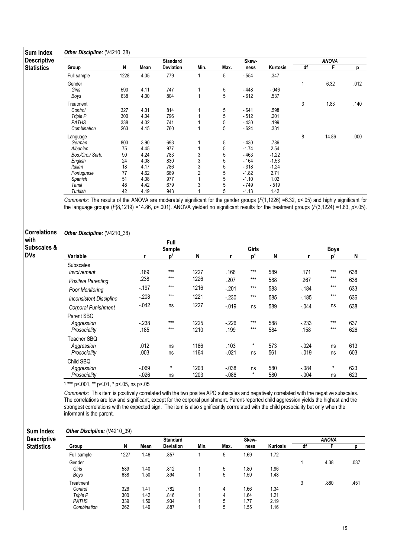#### Sum Index Other Discipline: (V4210\_38)

**Descriptive Statistics** 

with

**DVs** 

|                  |      |      | <b>Standard</b>  |                |             | Skew-   |          | <b>ANOVA</b> |       |      |  |
|------------------|------|------|------------------|----------------|-------------|---------|----------|--------------|-------|------|--|
| Group            | N    | Mean | <b>Deviation</b> | Min.           | Max.        | ness    | Kurtosis | df           | F     | р    |  |
| Full sample      | 1228 | 4.05 | .779             | $\overline{ }$ | 5           | $-554$  | .347     |              |       |      |  |
| Gender           |      |      |                  |                |             |         |          | 1            | 6.32  | .012 |  |
| Girls            | 590  | 4.11 | .747             |                | 5           | $-448$  | $-046$   |              |       |      |  |
| Boys             | 638  | 4.00 | .804             |                | 5           | $-612$  | .537     |              |       |      |  |
| Treatment        |      |      |                  |                |             |         |          | 3            | 1.83  | .140 |  |
| Control          | 327  | 4.01 | .814             |                | 5           | $-641$  | .598     |              |       |      |  |
| Triple P         | 300  | 4.04 | .796             |                | 5           | $-512$  | .201     |              |       |      |  |
| <b>PATHS</b>     | 338  | 4.02 | .741             |                | 5           | $-430$  | .199     |              |       |      |  |
| Combination      | 263  | 4.15 | .760             |                | 5           | $-624$  | .331     |              |       |      |  |
| Language         |      |      |                  |                |             |         |          | 8            | 14.86 | .000 |  |
| German           | 803  | 3.90 | .693             |                | 5           | $-430$  | .786     |              |       |      |  |
| Albanian         | 75   | 4.45 | .977             |                | $\mathbf 5$ | $-1.74$ | 2.54     |              |       |      |  |
| Bos./Cro./ Serb. | 90   | 4.24 | .783             | 3              | 5           | $-463$  | $-1.22$  |              |       |      |  |
| English          | 24   | 4.08 | .830             | 3              | 5           | $-164$  | $-1.53$  |              |       |      |  |
| Italian          | 18   | 4.17 | .786             | 3              | 5           | $-318$  | $-1.24$  |              |       |      |  |
| Portuguese       | 77   | 4.62 | .689             | 2              | 5           | $-1.82$ | 2.71     |              |       |      |  |
| Spanish          | 51   | 4.08 | .977             |                | 5           | $-1.10$ | 1.02     |              |       |      |  |
| Tamil            | 48   | 4.42 | .679             | 3              | 5           | $-749$  | $-519$   |              |       |      |  |
| Turkish          | 42   | 4.19 | .943             |                | 5           | $-1.13$ | 1.42     |              |       |      |  |

Comments: The results of the ANOVA are moderately significant for the gender groups ( $F(1,1226) = 6.32$ ,  $p < .05$ ) and highly significant for the language groups (F(8,1219) =14.86, p<.001). ANOVA yielded no significant results for the treatment groups (F(3,1224) =1.83, p>.05).

#### **Correlations** Other Discipline: (V4210\_38)

| with<br>Subscales & |                                           |                  |                | <b>Girls</b> |                      |                | <b>Boys</b> |                      |                |            |
|---------------------|-------------------------------------------|------------------|----------------|--------------|----------------------|----------------|-------------|----------------------|----------------|------------|
| <b>DVs</b>          | Variable                                  | r                | p <sup>1</sup> | N            |                      | $\mathbf{D}^1$ | N           | r                    | p <sup>1</sup> | N          |
|                     | <b>Subscales</b><br>Involvement           | .169             | $***$          | 1227         | .166                 | $***$          | 589         | .171                 | $***$          | 638        |
|                     | <b>Positive Parenting</b>                 | .238             | $***$          | 1226         | .207                 | $***$          | 588         | .267                 | $***$          | 638        |
|                     | Poor Monitoring                           | $-197$           | $***$          | 1216         | $-201$               | $***$          | 583         | $-184$               | $***$          | 633        |
|                     | <b>Inconsistent Discipline</b>            | $-208$           | $***$          | 1221         | $-230$               | $***$          | 585         | $-185$               | $***$          | 636        |
|                     | Corporal Punishment                       | $-0.042$         | ns             | 1227         | $-0.019$             | ns             | 589         | $-0.044$             | ns             | 638        |
|                     | Parent SBQ<br>Aggression<br>Prosociality  | $-238$<br>.185   | $***$<br>$***$ | 1225<br>1210 | $-226$<br>.199       | $***$<br>$***$ | 588<br>584  | $-233$<br>.158       | $***$<br>$***$ | 637<br>626 |
|                     | Teacher SBQ<br>Aggression<br>Prosociality | .012<br>.003     | ns<br>ns       | 1186<br>1164 | .103<br>$-.021$      | $\star$<br>ns  | 573<br>561  | $-0.024$<br>$-0.019$ | ns<br>ns       | 613<br>603 |
|                     | Child SBQ<br>Aggression<br>Prosociality   | $-069$<br>$-026$ | $\star$<br>ns  | 1203<br>1203 | $-0.038$<br>$-0.086$ | ns<br>$^\star$ | 580<br>580  | $-.084$<br>$-.004$   | $\star$<br>ns  | 623<br>623 |

1 \*\*\* p<.001, \*\* p<.01, \* p<.05, ns p>.05

Comments: This item is positively correlated with the two positve APQ subscales and negatively correlated with the negative subscales. The correlations are low and significant, except for the corporal punishment. Parent-reported child aggression yields the highest and the strongest correlations with the expected sign. The item is also significantly corrrelated with the child prosociality but only when the informant is the parent.

#### Sum Index Other Discipline: (V4210\_39)

| <b>Descriptive</b> |             |      |      | <b>Standard</b>  |      |      | Skew- |          |    | <b>ANOVA</b> |      |
|--------------------|-------------|------|------|------------------|------|------|-------|----------|----|--------------|------|
| <b>Statistics</b>  | Group       | N    | Mean | <b>Deviation</b> | Min. | Max. | ness  | Kurtosis | df |              |      |
|                    | Full sample | 1227 | 1.46 | .857             |      | 5    | 1.69  | 1.72     |    |              |      |
|                    | Gender      |      |      |                  |      |      |       |          |    | 4.38         | .037 |
|                    | Girls       | 589  | 1.40 | .812             |      | 5    | 1.80  | 1.96     |    |              |      |
|                    | Boys        | 638  | 1.50 | .894             |      | 5    | 1.59  | 1.48     |    |              |      |
|                    | Treatment   |      |      |                  |      |      |       |          | ◠  | .880         | .451 |
|                    | Control     | 326  | 1.41 | .782             |      | 4    | 1.66  | 1.34     |    |              |      |
|                    | Triple P    | 300  | 1.42 | .816             |      | 4    | 1.64  | 1.21     |    |              |      |
|                    | PATHS       | 339  | 1.50 | .934             |      | 5    | 1.77  | 2.19     |    |              |      |
|                    | Combination | 262  | 1.49 | .887             |      | 5    | 1.55  | 1.16     |    |              |      |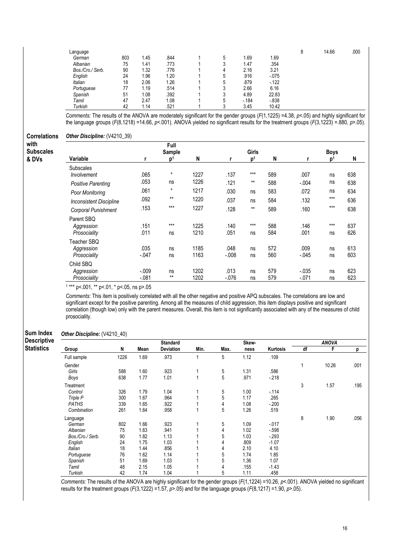| Language         |     |      |      |   |        |          | 14.66 | .000 |
|------------------|-----|------|------|---|--------|----------|-------|------|
| German           | 803 | 1.45 | .844 | 5 | 1.69   | 1.69     |       |      |
| Albanian         | 75  | 1.41 | .773 | 3 | 1.47   | .354     |       |      |
| Bos./Cro./ Serb. | 90  | 1.32 | .776 |   | 2.16   | 3.21     |       |      |
| English          | 24  | 1.96 | 1.20 | 5 | .916   | $-0.075$ |       |      |
| <b>Italian</b>   | 18  | 2.06 | 1.26 | 5 | .879   | $-122$   |       |      |
| Portuguese       |     | 1.19 | .514 | 3 | 2.66   | 6.16     |       |      |
| Spanish          | 51  | 1.08 | .392 | 3 | 4.89   | 22.83    |       |      |
| Tamil            | 47  | 2.47 | 1.08 | 5 | $-184$ | $-0.838$ |       |      |
| Turkish          | 42  | 1.14 | .521 |   | 3.45   | 10.42    |       |      |

Comments: The results of the ANOVA are moderately significant for the gender groups  $(F(1, 1225) = 4.38, p < 0.05)$  and highly significant for the language groups ( $F(8,1218) = 14.66$ ,  $p < .001$ ). ANOVA yielded no significant results for the treatment groups ( $F(3,1223) = .880$ ,  $p > .05$ ).

#### **Correlations** Other Discipline: (V4210\_39)

with Subscales

& DVs

|                                |          | Full           |      |         |                |     |             |                |     |  |
|--------------------------------|----------|----------------|------|---------|----------------|-----|-------------|----------------|-----|--|
|                                | Sample   |                |      |         | Girls          |     | <b>Boys</b> |                |     |  |
| Variable                       | r        | p <sup>1</sup> | N    | r       | p <sup>1</sup> | N   | r           | $\mathbf{D}^1$ | N   |  |
| <b>Subscales</b>               |          |                |      |         |                |     |             |                |     |  |
| Involvement                    | .065     | $\star$        | 1227 | .137    | $***$          | 589 | .007        | ns             | 638 |  |
| <b>Positive Parenting</b>      | .053     | ns             | 1226 | .121    | $***$          | 588 | $-.004$     | ns             | 638 |  |
| Poor Monitoring                | .061     | $\star$        | 1217 | .030    | ns             | 583 | .072        | ns             | 634 |  |
| <b>Inconsistent Discipline</b> | .092     | $***$          | 1220 | .037    | ns             | 584 | .132        | $***$          | 636 |  |
| Corporal Punishment            | .153     | $***$          | 1227 | .128    | $***$          | 589 | .160        | $***$          | 638 |  |
| Parent SBQ                     |          |                |      |         |                |     |             |                |     |  |
| Aggression                     | .151     | $***$          | 1225 | .140    | $***$          | 588 | .146        | $***$          | 637 |  |
| Prosociality                   | .011     | ns             | 1210 | .051    | ns             | 584 | .001        | ns             | 626 |  |
| Teacher SBQ                    |          |                |      |         |                |     |             |                |     |  |
| Aggression                     | .035     | ns             | 1185 | .048    | ns             | 572 | .009        | ns             | 613 |  |
| Prosociality                   | $-.047$  | ns             | 1163 | $-0.08$ | ns             | 560 | $-.045$     | ns             | 603 |  |
| Child SBQ                      |          |                |      |         |                |     |             |                |     |  |
| Aggression                     | $-0.009$ | ns             | 1202 | .013    | ns             | 579 | $-035$      | ns             | 623 |  |
| Prosociality                   | $-.081$  | $***$          | 1202 | $-076$  | ns             | 579 | $-.071$     | ns             | 623 |  |

1 \*\*\* p<.001, \*\* p<.01, \* p<.05, ns p>.05

Comments: This item is positively correlated with all the other negative and positive APQ subscales. The correlations are low and significant except for the positive parenting. Among all the measures of child aggression, this item displays positive and significant correlation (though low) only with the parent measures. Overall, this item is not significantly associated with any of the measures of child prosociality.

#### Sum Index Other Discipline: (V4210\_40)

| <b>Descriptive</b> |                  |      |      | <b>Standard</b>  |      |      | Skew- |          |    | <b>ANOVA</b> |      |
|--------------------|------------------|------|------|------------------|------|------|-------|----------|----|--------------|------|
| <b>Statistics</b>  | Group            | N    | Mean | <b>Deviation</b> | Min. | Max. | ness  | Kurtosis | df | F.           | D.   |
|                    | Full sample      | 1226 | 1.69 | .973             |      | 5    | 1.12  | .109     |    |              |      |
|                    | Gender           |      |      |                  |      |      |       |          |    | 10.26        | .001 |
|                    | Girls            | 588  | 1.60 | .923             |      | 5    | 1.31  | .586     |    |              |      |
|                    | Boys             | 638  | 1.77 | 1.01             |      | 5    | .971  | $-218$   |    |              |      |
|                    | Treatment        |      |      |                  |      |      |       |          | 3  | 1.57         | .195 |
|                    | Control          | 326  | 1.79 | 1.04             |      | 5    | 1.00  | $-114$   |    |              |      |
|                    | Triple P         | 300  | 1.67 | .964             |      | 5    | 1.17  | .265     |    |              |      |
|                    | <b>PATHS</b>     | 339  | 1.65 | .922             |      | 4    | 1.08  | $-200$   |    |              |      |
|                    | Combination      | 261  | 1.64 | .958             |      | 5    | 1.26  | .519     |    |              |      |
|                    | Language         |      |      |                  |      |      |       |          | 8  | 1.90         | .056 |
|                    | German           | 802  | 1.66 | .923             |      | 5    | 1.09  | $-017$   |    |              |      |
|                    | Albanian         | 75   | 1.63 | .941             |      | 4    | 1.02  | $-598$   |    |              |      |
|                    | Bos./Cro./ Serb. | 90   | 1.82 | 1.13             |      | 5    | 1.03  | $-293$   |    |              |      |
|                    | English          | 24   | 1.75 | 1.03             |      | 4    | .809  | $-1.07$  |    |              |      |
|                    | Italian          | 18   | 1.44 | .856             |      | 4    | 2.10  | 4.10     |    |              |      |
|                    | Portuguese       | 76   | 1.62 | 1.14             |      | 5    | 1.74  | 1.85     |    |              |      |
|                    | Spanish          | 51   | 1.69 | 1.03             |      | 5    | 1.36  | 1.07     |    |              |      |
|                    | Tamil            | 48   | 2.15 | 1.05             |      | 4    | .155  | $-1.43$  |    |              |      |
|                    | Turkish          | 42   | 1.74 | 1.04             |      | 5    | 1.11  | .458     |    |              |      |

Comments: The results of the ANOVA are highly significant for the gender groups (F(1,1224) =10.26, p<.001). ANOVA yielded no significant results for the treatment groups  $(F(3,1222) = 1.57, p > 0.05)$  and for the language groups  $(F(8,1217) = 1.90, p > 0.05)$ .